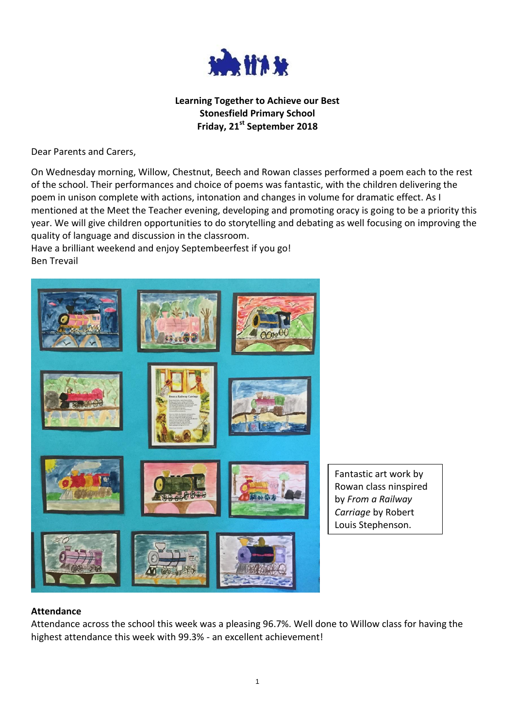

## **Learning Together to Achieve our Best Stonesfield Primary School Friday, 21st September 2018**

Dear Parents and Carers,

On Wednesday morning, Willow, Chestnut, Beech and Rowan classes performed a poem each to the rest of the school. Their performances and choice of poems was fantastic, with the children delivering the poem in unison complete with actions, intonation and changes in volume for dramatic effect. As I mentioned at the Meet the Teacher evening, developing and promoting oracy is going to be a priority this year. We will give children opportunities to do storytelling and debating as well focusing on improving the quality of language and discussion in the classroom.

Have a brilliant weekend and enjoy Septembeerfest if you go! Ben Trevail



Fantastic art work by Rowan class ninspired by *From a Railway Carriage* by Robert Louis Stephenson.

#### **Attendance**

Attendance across the school this week was a pleasing 96.7%. Well done to Willow class for having the highest attendance this week with 99.3% - an excellent achievement!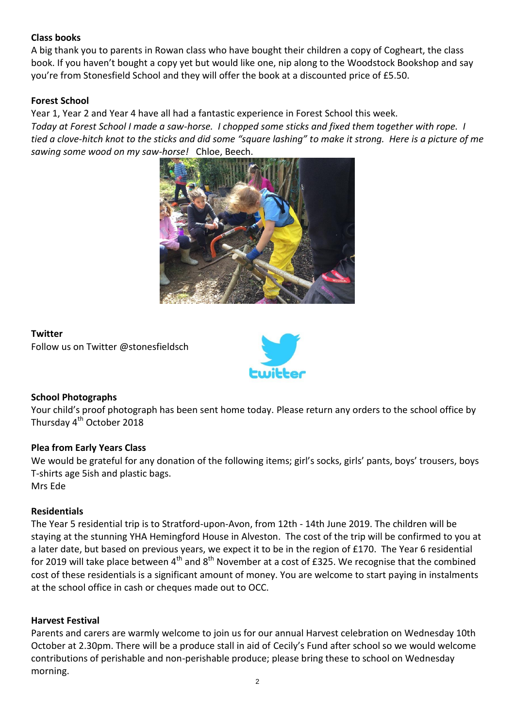### **Class books**

A big thank you to parents in Rowan class who have bought their children a copy of Cogheart, the class book. If you haven't bought a copy yet but would like one, nip along to the Woodstock Bookshop and say you're from Stonesfield School and they will offer the book at a discounted price of £5.50.

### **Forest School**

Year 1, Year 2 and Year 4 have all had a fantastic experience in Forest School this week. *Today at Forest School I made a saw-horse. I chopped some sticks and fixed them together with rope. I tied a clove-hitch knot to the sticks and did some "square lashing" to make it strong. Here is a picture of me sawing some wood on my saw-horse!* Chloe, Beech.



#### **Twitter**

Follow us on Twitter @stonesfieldsch



# **School Photographs**

Your child's proof photograph has been sent home today. Please return any orders to the school office by Thursday 4<sup>th</sup> October 2018

### **Plea from Early Years Class**

We would be grateful for any donation of the following items; girl's socks, girls' pants, boys' trousers, boys T-shirts age 5ish and plastic bags. Mrs Ede

### **Residentials**

The Year 5 residential trip is to Stratford-upon-Avon, from 12th - 14th June 2019. The children will be staying at the stunning YHA Hemingford House in Alveston. The cost of the trip will be confirmed to you at a later date, but based on previous years, we expect it to be in the region of £170. The Year 6 residential for 2019 will take place between  $4<sup>th</sup>$  and  $8<sup>th</sup>$  November at a cost of £325. We recognise that the combined cost of these residentials is a significant amount of money. You are welcome to start paying in instalments at the school office in cash or cheques made out to OCC.

### **Harvest Festival**

Parents and carers are warmly welcome to join us for our annual Harvest celebration on Wednesday 10th October at 2.30pm. There will be a produce stall in aid of Cecily's Fund after school so we would welcome contributions of perishable and non-perishable produce; please bring these to school on Wednesday morning.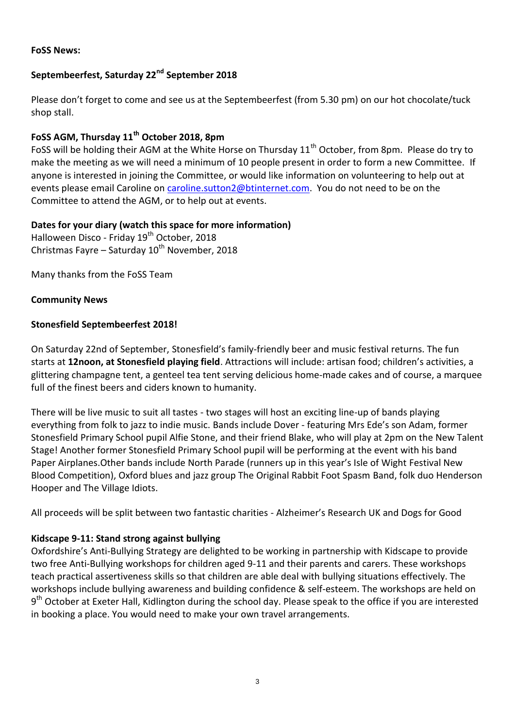# **Septembeerfest, Saturday 22nd September 2018**

Please don't forget to come and see us at the Septembeerfest (from 5.30 pm) on our hot chocolate/tuck shop stall.

# **FoSS AGM, Thursday 11th October 2018, 8pm**

FoSS will be holding their AGM at the White Horse on Thursday 11<sup>th</sup> October, from 8pm. Please do try to make the meeting as we will need a minimum of 10 people present in order to form a new Committee. If anyone is interested in joining the Committee, or would like information on volunteering to help out at events please email Caroline on [caroline.sutton2@btinternet.com.](mailto:caroline.sutton2@btinternet.com) You do not need to be on the Committee to attend the AGM, or to help out at events.

# **Dates for your diary (watch this space for more information)**

Halloween Disco - Friday 19<sup>th</sup> October, 2018 Christmas Fayre – Saturday  $10^{th}$  November, 2018

Many thanks from the FoSS Team

### **Community News**

### **Stonesfield Septembeerfest 2018!**

On Saturday 22nd of September, Stonesfield's family-friendly beer and music festival returns. The fun starts at **12noon, at Stonesfield playing field**. Attractions will include: artisan food; children's activities, a glittering champagne tent, a genteel tea tent serving delicious home-made cakes and of course, a marquee full of the finest beers and ciders known to humanity.

There will be live music to suit all tastes - two stages will host an exciting line-up of bands playing everything from folk to jazz to indie music. Bands include Dover - featuring Mrs Ede's son Adam, former Stonesfield Primary School pupil Alfie Stone, and their friend Blake, who will play at 2pm on the New Talent Stage! Another former Stonesfield Primary School pupil will be performing at the event with his band Paper Airplanes.Other bands include North Parade (runners up in this year's Isle of Wight Festival New Blood Competition), Oxford blues and jazz group The Original Rabbit Foot Spasm Band, folk duo Henderson Hooper and The Village Idiots.

All proceeds will be split between two fantastic charities - Alzheimer's Research UK and Dogs for Good

# **Kidscape 9-11: Stand strong against bullying**

Oxfordshire's Anti-Bullying Strategy are delighted to be working in partnership with Kidscape to provide two free Anti-Bullying workshops for children aged 9-11 and their parents and carers. These workshops teach practical assertiveness skills so that children are able deal with bullying situations effectively. The workshops include bullying awareness and building confidence & self-esteem. The workshops are held on 9<sup>th</sup> October at Exeter Hall, Kidlington during the school day. Please speak to the office if you are interested in booking a place. You would need to make your own travel arrangements.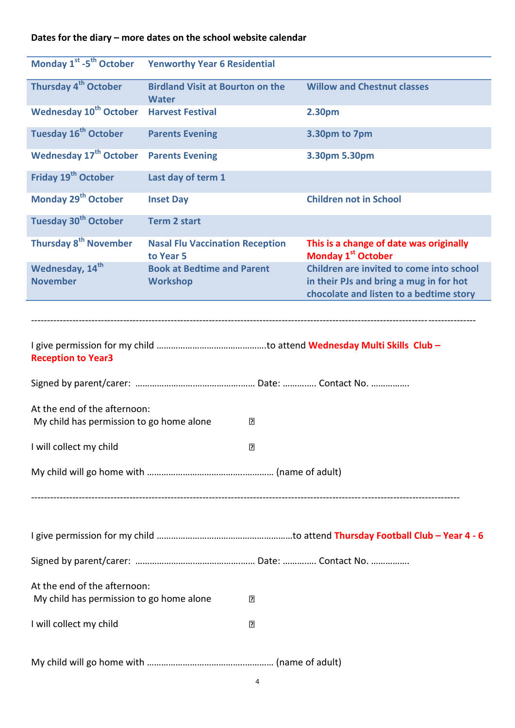# **Dates for the diary – more dates on the school website calendar**

| Monday 1 <sup>st</sup> -5 <sup>th</sup> October    | <b>Yenworthy Year 6 Residential</b>                     |                |                                                                                     |  |
|----------------------------------------------------|---------------------------------------------------------|----------------|-------------------------------------------------------------------------------------|--|
| Thursday 4 <sup>th</sup> October                   | <b>Birdland Visit at Bourton on the</b><br><b>Water</b> |                | <b>Willow and Chestnut classes</b>                                                  |  |
| <b>Wednesday 10<sup>th</sup> October</b>           | <b>Harvest Festival</b>                                 |                | 2.30pm                                                                              |  |
| Tuesday 16 <sup>th</sup> October                   | <b>Parents Evening</b>                                  |                | 3.30pm to 7pm                                                                       |  |
| <b>Wednesday 17th October</b>                      | <b>Parents Evening</b>                                  |                | 3.30pm 5.30pm                                                                       |  |
| Friday 19 <sup>th</sup> October                    | Last day of term 1                                      |                |                                                                                     |  |
| Monday 29 <sup>th</sup> October                    | <b>Inset Day</b>                                        |                | <b>Children not in School</b>                                                       |  |
| Tuesday 30 <sup>th</sup> October                   | <b>Term 2 start</b>                                     |                |                                                                                     |  |
| Thursday 8 <sup>th</sup> November                  | <b>Nasal Flu Vaccination Reception</b><br>to Year 5     |                | This is a change of date was originally<br>Monday 1 <sup>st</sup> October           |  |
| Wednesday, 14 <sup>th</sup><br><b>November</b>     | <b>Book at Bedtime and Parent</b><br><b>Workshop</b>    |                | Children are invited to come into school<br>in their PJs and bring a mug in for hot |  |
|                                                    |                                                         |                | chocolate and listen to a bedtime story                                             |  |
|                                                    |                                                         |                |                                                                                     |  |
| <b>Reception to Year3</b>                          |                                                         |                |                                                                                     |  |
|                                                    |                                                         |                |                                                                                     |  |
| At the end of the afternoon:                       |                                                         |                |                                                                                     |  |
| My child has permission to go home alone<br>$\Box$ |                                                         |                |                                                                                     |  |
| I will collect my child                            |                                                         | $\overline{2}$ |                                                                                     |  |
|                                                    |                                                         |                |                                                                                     |  |
|                                                    |                                                         |                |                                                                                     |  |
|                                                    |                                                         |                |                                                                                     |  |
|                                                    |                                                         |                |                                                                                     |  |
|                                                    |                                                         |                |                                                                                     |  |
| At the end of the afternoon:                       |                                                         |                |                                                                                     |  |
| My child has permission to go home alone<br>₽      |                                                         |                |                                                                                     |  |
| I will collect my child                            |                                                         | ₽              |                                                                                     |  |
|                                                    |                                                         |                |                                                                                     |  |
|                                                    |                                                         |                |                                                                                     |  |